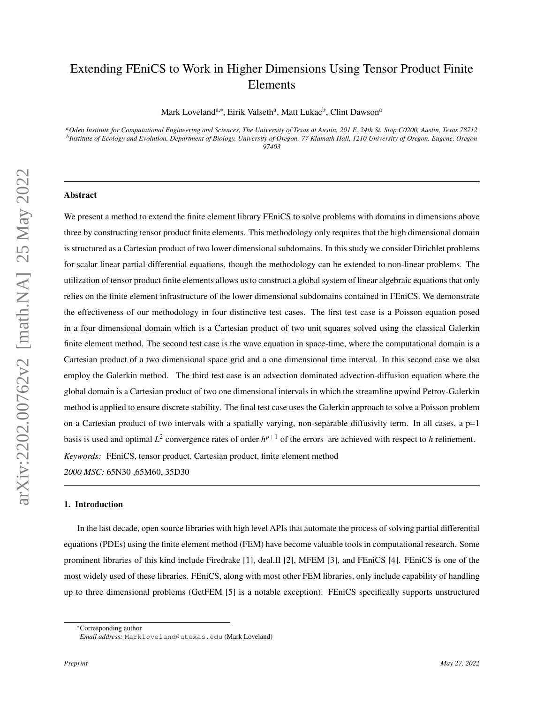# Extending FEniCS to Work in Higher Dimensions Using Tensor Product Finite Elements

Mark Loveland<sup>a,∗</sup>, Eirik Valseth<sup>a</sup>, Matt Lukac<sup>b</sup>, Clint Dawson<sup>a</sup>

*<sup>a</sup>Oden Institute for Computational Engineering and Sciences, The University of Texas at Austin. 201 E. 24th St. Stop C0200, Austin, Texas 78712 b Institute of Ecology and Evolution, Department of Biology, University of Oregon. 77 Klamath Hall, 1210 University of Oregon, Eugene, Oregon 97403*

# Abstract

We present a method to extend the finite element library FEniCS to solve problems with domains in dimensions above three by constructing tensor product finite elements. This methodology only requires that the high dimensional domain is structured as a Cartesian product of two lower dimensional subdomains. In this study we consider Dirichlet problems for scalar linear partial differential equations, though the methodology can be extended to non-linear problems. The utilization of tensor product finite elements allows us to construct a global system of linear algebraic equations that only relies on the finite element infrastructure of the lower dimensional subdomains contained in FEniCS. We demonstrate the effectiveness of our methodology in four distinctive test cases. The first test case is a Poisson equation posed in a four dimensional domain which is a Cartesian product of two unit squares solved using the classical Galerkin finite element method. The second test case is the wave equation in space-time, where the computational domain is a Cartesian product of a two dimensional space grid and a one dimensional time interval. In this second case we also employ the Galerkin method. The third test case is an advection dominated advection-diffusion equation where the global domain is a Cartesian product of two one dimensional intervals in which the streamline upwind Petrov-Galerkin method is applied to ensure discrete stability. The final test case uses the Galerkin approach to solve a Poisson problem on a Cartesian product of two intervals with a spatially varying, non-separable diffusivity term. In all cases, a p=1 basis is used and optimal  $L^2$  convergence rates of order  $h^{p+1}$  of the errors are achieved with respect to *h* refinement. *Keywords:* FEniCS, tensor product, Cartesian product, finite element method *2000 MSC:* 65N30 ,65M60, 35D30

#### 1. Introduction

In the last decade, open source libraries with high level APIs that automate the process of solving partial differential equations (PDEs) using the finite element method (FEM) have become valuable tools in computational research. Some prominent libraries of this kind include Firedrake [\[1\]](#page-13-0), deal.II [\[2\]](#page-13-1), MFEM [\[3\]](#page-13-2), and FEniCS [\[4\]](#page-13-3). FEniCS is one of the most widely used of these libraries. FEniCS, along with most other FEM libraries, only include capability of handling up to three dimensional problems (GetFEM [\[5\]](#page-13-4) is a notable exception). FEniCS specifically supports unstructured

<sup>∗</sup>Corresponding author

*Email address:* Markloveland@utexas.edu (Mark Loveland)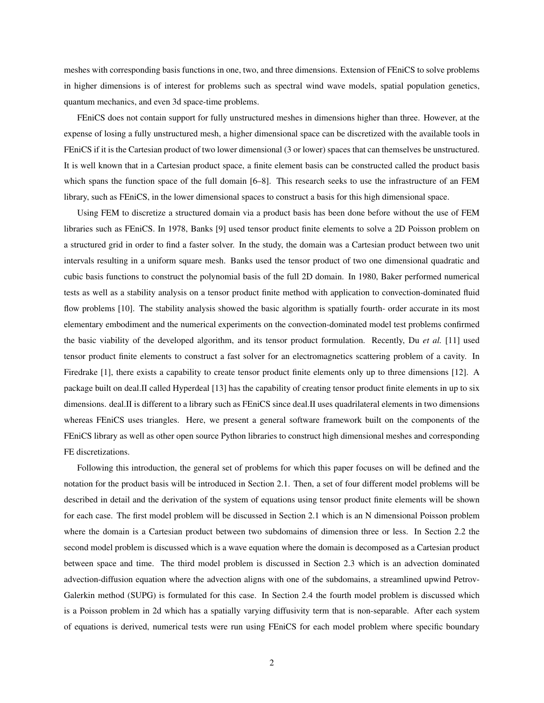meshes with corresponding basis functions in one, two, and three dimensions. Extension of FEniCS to solve problems in higher dimensions is of interest for problems such as spectral wind wave models, spatial population genetics, quantum mechanics, and even 3d space-time problems.

FEniCS does not contain support for fully unstructured meshes in dimensions higher than three. However, at the expense of losing a fully unstructured mesh, a higher dimensional space can be discretized with the available tools in FEniCS if it is the Cartesian product of two lower dimensional (3 or lower) spaces that can themselves be unstructured. It is well known that in a Cartesian product space, a finite element basis can be constructed called the product basis which spans the function space of the full domain  $[6–8]$  $[6–8]$ . This research seeks to use the infrastructure of an FEM library, such as FEniCS, in the lower dimensional spaces to construct a basis for this high dimensional space.

Using FEM to discretize a structured domain via a product basis has been done before without the use of FEM libraries such as FEniCS. In 1978, Banks [\[9\]](#page-13-7) used tensor product finite elements to solve a 2D Poisson problem on a structured grid in order to find a faster solver. In the study, the domain was a Cartesian product between two unit intervals resulting in a uniform square mesh. Banks used the tensor product of two one dimensional quadratic and cubic basis functions to construct the polynomial basis of the full 2D domain. In 1980, Baker performed numerical tests as well as a stability analysis on a tensor product finite method with application to convection-dominated fluid flow problems [\[10\]](#page-13-8). The stability analysis showed the basic algorithm is spatially fourth- order accurate in its most elementary embodiment and the numerical experiments on the convection-dominated model test problems confirmed the basic viability of the developed algorithm, and its tensor product formulation. Recently, Du *et al.* [\[11\]](#page-13-9) used tensor product finite elements to construct a fast solver for an electromagnetics scattering problem of a cavity. In Firedrake [\[1\]](#page-13-0), there exists a capability to create tensor product finite elements only up to three dimensions [\[12\]](#page-13-10). A package built on deal.II called Hyperdeal [\[13\]](#page-14-0) has the capability of creating tensor product finite elements in up to six dimensions. deal.II is different to a library such as FEniCS since deal.II uses quadrilateral elements in two dimensions whereas FEniCS uses triangles. Here, we present a general software framework built on the components of the FEniCS library as well as other open source Python libraries to construct high dimensional meshes and corresponding FE discretizations.

Following this introduction, the general set of problems for which this paper focuses on will be defined and the notation for the product basis will be introduced in Section [2.1.](#page-3-0) Then, a set of four different model problems will be described in detail and the derivation of the system of equations using tensor product finite elements will be shown for each case. The first model problem will be discussed in Section [2.1](#page-3-0) which is an N dimensional Poisson problem where the domain is a Cartesian product between two subdomains of dimension three or less. In Section [2.2](#page-5-0) the second model problem is discussed which is a wave equation where the domain is decomposed as a Cartesian product between space and time. The third model problem is discussed in Section [2.3](#page-6-0) which is an advection dominated advection-diffusion equation where the advection aligns with one of the subdomains, a streamlined upwind Petrov-Galerkin method (SUPG) is formulated for this case. In Section [2.4](#page-8-0) the fourth model problem is discussed which is a Poisson problem in 2d which has a spatially varying diffusivity term that is non-separable. After each system of equations is derived, numerical tests were run using FEniCS for each model problem where specific boundary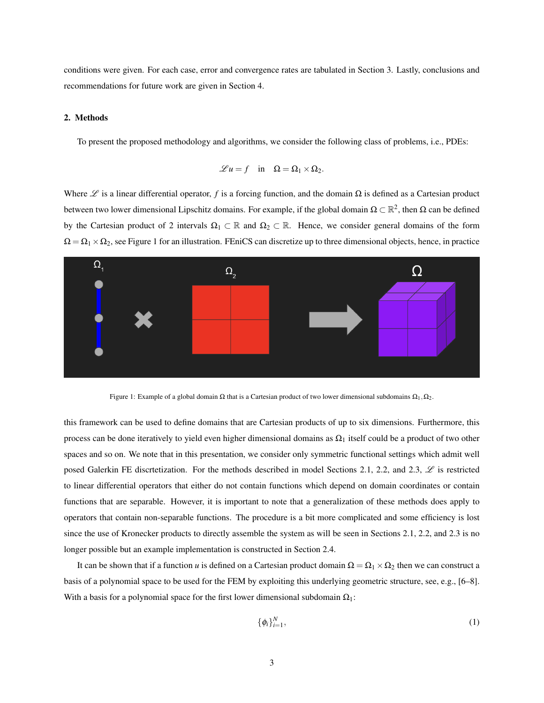conditions were given. For each case, error and convergence rates are tabulated in Section [3.](#page-9-0) Lastly, conclusions and recommendations for future work are given in Section [4.](#page-12-0)

# <span id="page-2-1"></span>2. Methods

To present the proposed methodology and algorithms, we consider the following class of problems, i.e., PDEs:

$$
\mathscr{L}u = f \quad \text{in} \quad \Omega = \Omega_1 \times \Omega_2.
$$

Where  $\mathscr L$  is a linear differential operator, *f* is a forcing function, and the domain  $\Omega$  is defined as a Cartesian product between two lower dimensional Lipschitz domains. For example, if the global domain  $\Omega\subset\mathbb{R}^2$ , then  $\Omega$  can be defined by the Cartesian product of 2 intervals  $\Omega_1 \subset \mathbb{R}$  and  $\Omega_2 \subset \mathbb{R}$ . Hence, we consider general domains of the form  $\Omega = \Omega_1 \times \Omega_2$ , see Figure [1](#page-2-0) for an illustration. FEniCS can discretize up to three dimensional objects, hence, in practice



<span id="page-2-0"></span>Figure 1: Example of a global domain  $\Omega$  that is a Cartesian product of two lower dimensional subdomains  $\Omega_1, \Omega_2$ .

this framework can be used to define domains that are Cartesian products of up to six dimensions. Furthermore, this process can be done iteratively to yield even higher dimensional domains as  $\Omega_1$  itself could be a product of two other spaces and so on. We note that in this presentation, we consider only symmetric functional settings which admit well posed Galerkin FE discrtetization. For the methods described in model Sections [2.1,](#page-3-0) [2.2,](#page-5-0) and [2.3,](#page-6-0)  $\mathscr{L}$  is restricted to linear differential operators that either do not contain functions which depend on domain coordinates or contain functions that are separable. However, it is important to note that a generalization of these methods does apply to operators that contain non-separable functions. The procedure is a bit more complicated and some efficiency is lost since the use of Kronecker products to directly assemble the system as will be seen in Sections [2.1,](#page-3-0) [2.2,](#page-5-0) and [2.3](#page-6-0) is no longer possible but an example implementation is constructed in Section [2.4.](#page-8-0)

It can be shown that if a function *u* is defined on a Cartesian product domain  $\Omega = \Omega_1 \times \Omega_2$  then we can construct a basis of a polynomial space to be used for the FEM by exploiting this underlying geometric structure, see, e.g., [\[6](#page-13-5)[–8\]](#page-13-6). With a basis for a polynomial space for the first lower dimensional subdomain  $\Omega_1$ :

$$
\{\phi_i\}_{i=1}^N,\tag{1}
$$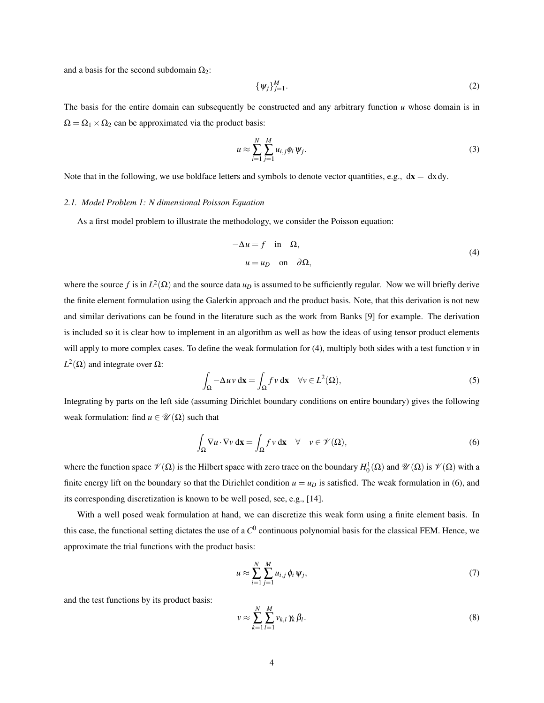and a basis for the second subdomain  $\Omega_2$ :

$$
\{\psi_j\}_{j=1}^M.\tag{2}
$$

The basis for the entire domain can subsequently be constructed and any arbitrary function *u* whose domain is in  $\Omega = \Omega_1 \times \Omega_2$  can be approximated via the product basis:

$$
u \approx \sum_{i=1}^{N} \sum_{j=1}^{M} u_{i,j} \phi_i \psi_j.
$$
 (3)

Note that in the following, we use boldface letters and symbols to denote vector quantities, e.g.,  $dx = dx dy$ .

# <span id="page-3-0"></span>*2.1. Model Problem 1: N dimensional Poisson Equation*

As a first model problem to illustrate the methodology, we consider the Poisson equation:

<span id="page-3-1"></span>
$$
-\Delta u = f \quad \text{in} \quad \Omega,
$$
  
\n
$$
u = u_D \quad \text{on} \quad \partial \Omega,
$$
 (4)

where the source f is in  $L^2(\Omega)$  and the source data  $u_D$  is assumed to be sufficiently regular. Now we will briefly derive the finite element formulation using the Galerkin approach and the product basis. Note, that this derivation is not new and similar derivations can be found in the literature such as the work from Banks [\[9\]](#page-13-7) for example. The derivation is included so it is clear how to implement in an algorithm as well as how the ideas of using tensor product elements will apply to more complex cases. To define the weak formulation for [\(4\)](#page-3-1), multiply both sides with a test function *v* in  $L^2$ (Ω) and integrate over Ω:

<span id="page-3-3"></span>
$$
\int_{\Omega} -\Delta uv \, \mathrm{d}\mathbf{x} = \int_{\Omega} f v \, \mathrm{d}\mathbf{x} \quad \forall v \in L^2(\Omega),\tag{5}
$$

Integrating by parts on the left side (assuming Dirichlet boundary conditions on entire boundary) gives the following weak formulation: find  $u \in \mathcal{U}(\Omega)$  such that

<span id="page-3-2"></span>
$$
\int_{\Omega} \nabla u \cdot \nabla v \, d\mathbf{x} = \int_{\Omega} f v \, d\mathbf{x} \quad \forall \quad v \in \mathcal{V}(\Omega),
$$
\n(6)

where the function space  $\mathcal{V}(\Omega)$  is the Hilbert space with zero trace on the boundary  $H_0^1(\Omega)$  and  $\mathcal{U}(\Omega)$  is  $\mathcal{V}(\Omega)$  with a finite energy lift on the boundary so that the Dirichlet condition  $u = u_D$  is satisfied. The weak formulation in [\(6\)](#page-3-2), and its corresponding discretization is known to be well posed, see, e.g., [\[14\]](#page-14-1).

With a well posed weak formulation at hand, we can discretize this weak form using a finite element basis. In this case, the functional setting dictates the use of a *C* 0 continuous polynomial basis for the classical FEM. Hence, we approximate the trial functions with the product basis:

$$
u \approx \sum_{i=1}^{N} \sum_{j=1}^{M} u_{i,j} \phi_i \psi_j,
$$
 (7)

and the test functions by its product basis:

$$
v \approx \sum_{k=1}^{N} \sum_{l=1}^{M} v_{k,l} \gamma_k \beta_l.
$$
 (8)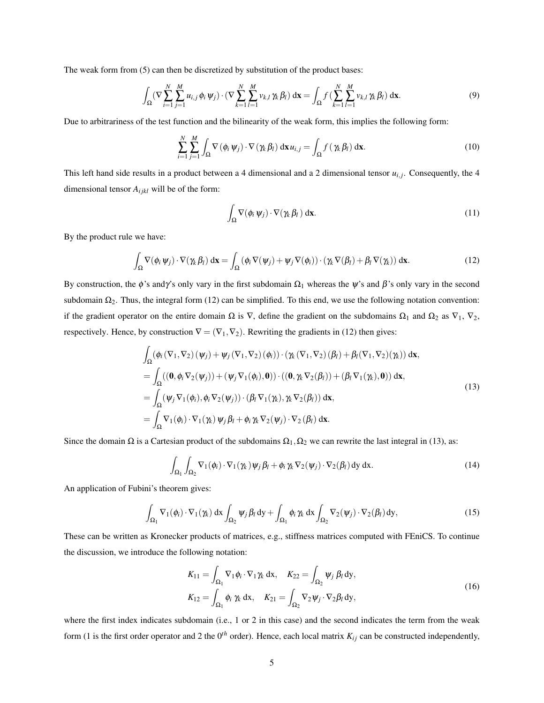The weak form from [\(5\)](#page-3-3) can then be discretized by substitution of the product bases:

$$
\int_{\Omega} (\nabla \sum_{i=1}^N \sum_{j=1}^M u_{i,j} \phi_i \psi_j) \cdot (\nabla \sum_{k=1}^N \sum_{l=1}^M v_{k,l} \gamma_k \beta_l) d\mathbf{x} = \int_{\Omega} f \left( \sum_{k=1}^N \sum_{l=1}^M v_{k,l} \gamma_k \beta_l \right) d\mathbf{x}.
$$
\n(9)

Due to arbitrariness of the test function and the bilinearity of the weak form, this implies the following form:

$$
\sum_{i=1}^{N} \sum_{j=1}^{M} \int_{\Omega} \nabla \left( \phi_i \, \psi_j \right) \cdot \nabla \left( \gamma_k \, \beta_l \right) \, \mathrm{d} \mathbf{x} \, u_{i,j} = \int_{\Omega} f \left( \gamma_k \, \beta_l \right) \, \mathrm{d} \mathbf{x} \, . \tag{10}
$$

This left hand side results in a product between a 4 dimensional and a 2 dimensional tensor  $u_{i,j}$ . Consequently, the 4 dimensional tensor  $A_{ijkl}$  will be of the form:

<span id="page-4-1"></span>
$$
\int_{\Omega} \nabla(\phi_i \psi_j) \cdot \nabla(\gamma_k \beta_l) \, \mathrm{d}\mathbf{x}.\tag{11}
$$

By the product rule we have:

<span id="page-4-0"></span>
$$
\int_{\Omega} \nabla(\phi_i \, \psi_j) \cdot \nabla(\gamma_k \, \beta_l) \, \mathrm{d}\mathbf{x} = \int_{\Omega} (\phi_i \, \nabla(\psi_j) + \psi_j \, \nabla(\phi_i)) \cdot (\gamma_k \, \nabla(\beta_l) + \beta_l \, \nabla(\gamma_k)) \, \mathrm{d}\mathbf{x}.\tag{12}
$$

By construction, the  $\phi$ 's andγ's only vary in the first subdomain  $\Omega_1$  whereas the  $\psi$ 's and  $\beta$ 's only vary in the second subdomain  $\Omega_2$ . Thus, the integral form [\(12\)](#page-4-0) can be simplified. To this end, we use the following notation convention: if the gradient operator on the entire domain  $\Omega$  is  $\nabla$ , define the gradient on the subdomains  $\Omega_1$  and  $\Omega_2$  as  $\nabla_1$ ,  $\nabla_2$ , respectively. Hence, by construction  $\nabla = (\nabla_1, \nabla_2)$ . Rewriting the gradients in [\(12\)](#page-4-0) then gives:

$$
\int_{\Omega} (\phi_i (\nabla_1, \nabla_2) (\psi_j) + \psi_j (\nabla_1, \nabla_2) (\phi_i)) \cdot (\chi (\nabla_1, \nabla_2) (\beta_l) + \beta_l (\nabla_1, \nabla_2) (\gamma_k)) \, d\mathbf{x},
$$
\n
$$
= \int_{\Omega} ((\mathbf{0}, \phi_i \nabla_2 (\psi_j)) + (\psi_j \nabla_1 (\phi_i), \mathbf{0})) \cdot ((\mathbf{0}, \gamma_k \nabla_2 (\beta_l)) + (\beta_l \nabla_1 (\gamma_k), \mathbf{0})) \, d\mathbf{x},
$$
\n
$$
= \int_{\Omega} (\psi_j \nabla_1 (\phi_i), \phi_i \nabla_2 (\psi_j)) \cdot (\beta_l \nabla_1 (\gamma_k), \gamma_k \nabla_2 (\beta_l)) \, d\mathbf{x},
$$
\n
$$
= \int_{\Omega} \nabla_1 (\phi_i) \cdot \nabla_1 (\gamma_k) \psi_j \beta_l + \phi_i \gamma_k \nabla_2 (\psi_j) \cdot \nabla_2 (\beta_l) \, d\mathbf{x}.
$$
\n(13)

Since the domain  $\Omega$  is a Cartesian product of the subdomains  $\Omega_1, \Omega_2$  we can rewrite the last integral in [\(13\)](#page-4-1), as:

<span id="page-4-2"></span>
$$
\int_{\Omega_1} \int_{\Omega_2} \nabla_1(\phi_i) \cdot \nabla_1(\gamma_k) \psi_j \beta_l + \phi_i \gamma_k \nabla_2(\psi_j) \cdot \nabla_2(\beta_l) \, dy \, dx.
$$
 (14)

An application of Fubini's theorem gives:

$$
\int_{\Omega_1} \nabla_1(\phi_i) \cdot \nabla_1(\gamma_k) \, dx \int_{\Omega_2} \psi_j \, \beta_l \, dy + \int_{\Omega_1} \phi_i \, \gamma_k \, dx \int_{\Omega_2} \nabla_2(\psi_j) \cdot \nabla_2(\beta_l) \, dy,
$$
\n(15)

These can be written as Kronecker products of matrices, e.g., stiffness matrices computed with FEniCS. To continue the discussion, we introduce the following notation:

$$
K_{11} = \int_{\Omega_1} \nabla_1 \phi_i \cdot \nabla_1 \gamma_k \, \mathrm{d}x, \quad K_{22} = \int_{\Omega_2} \psi_j \, \beta_l \, \mathrm{d}y,
$$
  

$$
K_{12} = \int_{\Omega_1} \phi_i \, \gamma_k \, \mathrm{d}x, \quad K_{21} = \int_{\Omega_2} \nabla_2 \psi_j \cdot \nabla_2 \beta_l \, \mathrm{d}y,
$$
 (16)

where the first index indicates subdomain (i.e., 1 or 2 in this case) and the second indicates the term from the weak form (1 is the first order operator and 2 the  $0^{th}$  order). Hence, each local matrix  $K_{ij}$  can be constructed independently,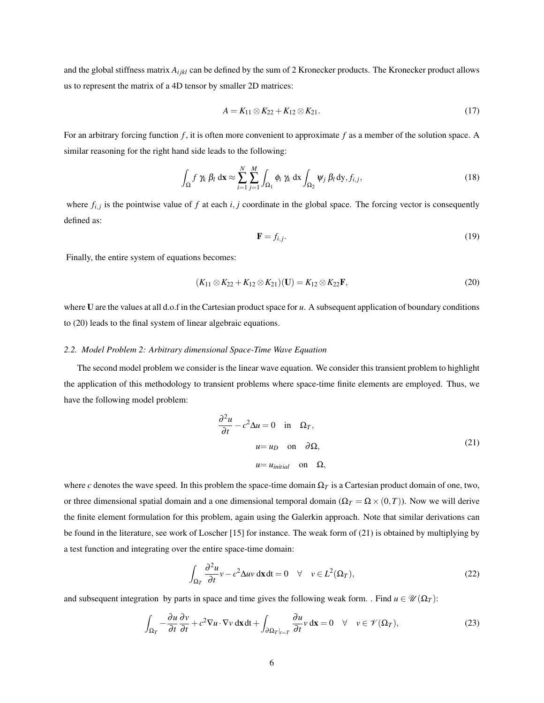and the global stiffness matrix  $A_{ijkl}$  can be defined by the sum of 2 Kronecker products. The Kronecker product allows us to represent the matrix of a 4D tensor by smaller 2D matrices:

$$
A = K_{11} \otimes K_{22} + K_{12} \otimes K_{21}.
$$
 (17)

For an arbitrary forcing function *f* , it is often more convenient to approximate *f* as a member of the solution space. A similar reasoning for the right hand side leads to the following:

$$
\int_{\Omega} f \gamma_k \beta_l \, \mathrm{d} \mathbf{x} \approx \sum_{i=1}^N \sum_{j=1}^M \int_{\Omega_1} \phi_i \, \gamma_k \, \mathrm{d} \mathbf{x} \int_{\Omega_2} \psi_j \, \beta_l \, \mathrm{d} \mathbf{y}, f_{i,j}, \tag{18}
$$

where  $f_{i,j}$  is the pointwise value of  $f$  at each  $i, j$  coordinate in the global space. The forcing vector is consequently defined as:

<span id="page-5-1"></span>
$$
\mathbf{F} = f_{i,j}.\tag{19}
$$

Finally, the entire system of equations becomes:

$$
(K_{11} \otimes K_{22} + K_{12} \otimes K_{21})(\mathbf{U}) = K_{12} \otimes K_{22}\mathbf{F},\tag{20}
$$

where U are the values at all d.o.f in the Cartesian product space for *u*. A subsequent application of boundary conditions to [\(20\)](#page-5-1) leads to the final system of linear algebraic equations.

# <span id="page-5-0"></span>*2.2. Model Problem 2: Arbitrary dimensional Space-Time Wave Equation*

The second model problem we consider is the linear wave equation. We consider this transient problem to highlight the application of this methodology to transient problems where space-time finite elements are employed. Thus, we have the following model problem:

<span id="page-5-2"></span>
$$
\frac{\partial^2 u}{\partial t} - c^2 \Delta u = 0 \quad \text{in} \quad \Omega_T,
$$
  
\n
$$
u = u_D \quad \text{on} \quad \partial \Omega,
$$
  
\n
$$
u = u_{initial} \quad \text{on} \quad \Omega,
$$
\n(21)

where *c* denotes the wave speed. In this problem the space-time domain  $\Omega_T$  is a Cartesian product domain of one, two, or three dimensional spatial domain and a one dimensional temporal domain ( $\Omega_T = \Omega \times (0,T)$ ). Now we will derive the finite element formulation for this problem, again using the Galerkin approach. Note that similar derivations can be found in the literature, see work of Loscher [\[15\]](#page-14-2) for instance. The weak form of [\(21\)](#page-5-2) is obtained by multiplying by a test function and integrating over the entire space-time domain:

<span id="page-5-3"></span>
$$
\int_{\Omega_T} \frac{\partial^2 u}{\partial t} v - c^2 \Delta uv \, \mathrm{d}x \, \mathrm{d}t = 0 \quad \forall \quad v \in L^2(\Omega_T),\tag{22}
$$

and subsequent integration by parts in space and time gives the following weak form. . Find  $u \in \mathcal{U}(\Omega_T)$ :

$$
\int_{\Omega_T} -\frac{\partial u}{\partial t} \frac{\partial v}{\partial t} + c^2 \nabla u \cdot \nabla v \, \mathrm{d} \mathbf{x} \, \mathrm{d} t + \int_{\partial \Omega_T |_{t=T}} \frac{\partial u}{\partial t} v \, \mathrm{d} \mathbf{x} = 0 \quad \forall \quad v \in \mathcal{V}(\Omega_T),\tag{23}
$$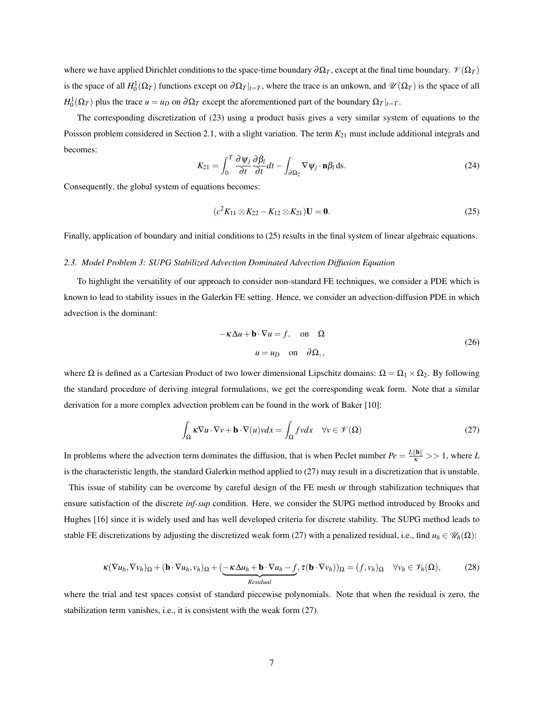where we have applied Dirichlet conditions to the space-time boundary  $\partial \Omega_T$ , except at the final time boundary.  $\mathcal{V}(\Omega_T)$ is the space of all  $H_0^1(\Omega_T)$  functions except on  $\partial \Omega_T|_{t=T}$ , where the trace is an unkown, and  $\mathcal{U}(\Omega_T)$  is the space of all  $H_0^1(\Omega_T)$  plus the trace  $u = u_D$  on  $\partial \Omega_T$  except the aforementioned part of the boundary  $\Omega_T|_{t=T}$ .

The corresponding discretization of [\(23\)](#page-5-3) using a product basis gives a very similar system of equations to the Poisson problem considered in Section [2.1,](#page-3-0) with a slight variation. The term  $K_{21}$  must include additional integrals and becomes:

$$
K_{21} = \int_0^T \frac{\partial \psi_j}{\partial t} \frac{\partial \beta_l}{\partial t} dt - \int_{\partial \Omega_2} \nabla \psi_j \cdot \mathbf{n} \beta_l \, \mathrm{d}s. \tag{24}
$$

Consequently, the global system of equations becomes:

<span id="page-6-1"></span>
$$
(c2K11 \otimes K22 - K12 \otimes K21)U = 0.
$$
 (25)

Finally, application of boundary and initial conditions to [\(25\)](#page-6-1) results in the final system of linear algebraic equations.

# <span id="page-6-0"></span>*2.3. Model Problem 3: SUPG Stabilized Advection Dominated Advection Diffusion Equation*

To highlight the versatility of our approach to consider non-standard FE techniques, we consider a PDE which is known to lead to stability issues in the Galerkin FE setting. Hence, we consider an advection-diffusion PDE in which advection is the dominant:

<span id="page-6-2"></span>
$$
-\kappa \Delta u + \mathbf{b} \cdot \nabla u = f, \text{ on } \Omega
$$
  
 
$$
u = u_D \text{ on } \partial \Omega,
$$
 (26)

where  $\Omega$  is defined as a Cartesian Product of two lower dimensional Lipschitz domains:  $\Omega = \Omega_1 \times \Omega_2$ . By following the standard procedure of deriving integral formulations, we get the corresponding weak form. Note that a similar derivation for a more complex advection problem can be found in the work of Baker [\[10\]](#page-13-8):

$$
\int_{\Omega} \kappa \nabla u \cdot \nabla v + \mathbf{b} \cdot \nabla(u) v dx = \int_{\Omega} f v dx \quad \forall v \in \mathcal{V}(\Omega)
$$
\n(27)

In problems where the advection term dominates the diffusion, that is when Peclet number  $Pe = \frac{L\|\mathbf{b}\|}{\kappa} >> 1$ , where *L* is the characteristic length, the standard Galerkin method applied to [\(27\)](#page-6-2) may result in a discretization that is unstable.

This issue of stability can be overcome by careful design of the FE mesh or through stabilization techniques that ensure satisfaction of the discrete *inf-sup* condition. Here, we consider the SUPG method introduced by Brooks and Hughes [\[16\]](#page-14-3) since it is widely used and has well developed criteria for discrete stability. The SUPG method leads to stable FE discretizations by adjusting the discretized weak form [\(27\)](#page-6-2) with a penalized residual, i.e., find  $u_h \in \mathcal{U}_h(\Omega)$ :

<span id="page-6-3"></span>
$$
\kappa(\nabla u_h, \nabla v_h)_{\Omega} + (\mathbf{b} \cdot \nabla u_h, v_h)_{\Omega} + (\underbrace{-\kappa \Delta u_h + \mathbf{b} \cdot \nabla u_h - f}_{Residual}, \tau(\mathbf{b} \cdot \nabla v_h))_{\Omega} = (f, v_h)_{\Omega} \quad \forall v_h \in \mathscr{V}_h(\Omega),
$$
 (28)

where the trial and test spaces consist of standard piecewise polynomials. Note that when the residual is zero, the stabilization term vanishes, i.e., it is consistent with the weak form [\(27\)](#page-6-2).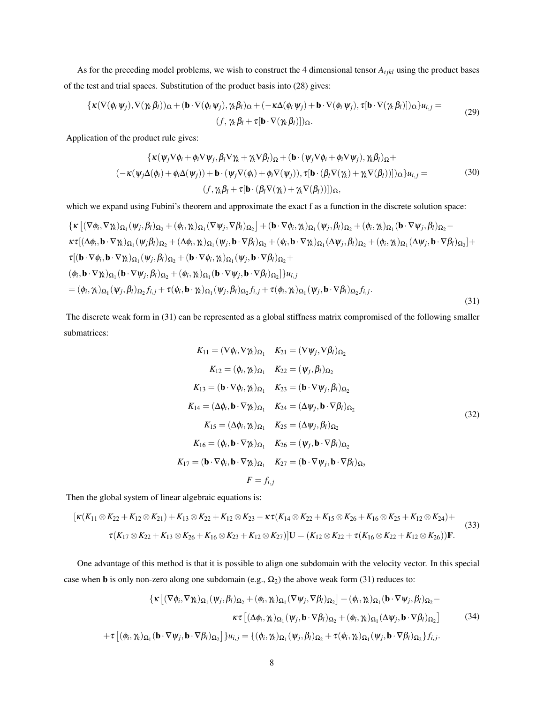As for the preceding model problems, we wish to construct the 4 dimensional tensor  $A_{ijkl}$  using the product bases of the test and trial spaces. Substitution of the product basis into [\(28\)](#page-6-3) gives:

$$
\{\kappa(\nabla(\phi_i \psi_j), \nabla(\gamma_k \beta_l))_{\Omega} + (\mathbf{b} \cdot \nabla(\phi_i \psi_j), \gamma_k \beta_l)_{\Omega} + (-\kappa \Delta(\phi_i \psi_j) + \mathbf{b} \cdot \nabla(\phi_i \psi_j), \tau[\mathbf{b} \cdot \nabla(\gamma_k \beta_l)])_{\Omega}\} u_{i,j} = (f, \gamma_k \beta_l + \tau[\mathbf{b} \cdot \nabla(\gamma_k \beta_l)])_{\Omega}.
$$
 (29)

Application of the product rule gives:

$$
\begin{aligned}\n\{\kappa(\psi_j \nabla \phi_i + \phi_i \nabla \psi_j, \beta_l \nabla \gamma_k + \gamma_k \nabla \beta_l)_{\Omega} + (\mathbf{b} \cdot (\psi_j \nabla \phi_i + \phi_i \nabla \psi_j), \gamma_k \beta_l)_{\Omega} + \\
(-\kappa(\psi_j \Delta(\phi_i) + \phi_i \Delta(\psi_j)) + \mathbf{b} \cdot (\psi_j \nabla(\phi_i) + \phi_i \nabla(\psi_j)), \tau [\mathbf{b} \cdot (\beta_l \nabla(\gamma_k) + \gamma_k \nabla(\beta_l))]]_{\Omega}\} u_{i,j} = \\
(f, \gamma_k \beta_l + \tau [\mathbf{b} \cdot (\beta_l \nabla(\gamma_k) + \gamma_k \nabla(\beta_l))]]_{\Omega},\n\end{aligned}
$$
\n(30)

which we expand using Fubini's theorem and approximate the exact f as a function in the discrete solution space:

$$
\begin{split}\n\{\kappa \left[ (\nabla \phi_i, \nabla \gamma_k)_{\Omega_1} (\psi_j, \beta_l)_{\Omega_2} + (\phi_i, \gamma_k)_{\Omega_1} (\nabla \psi_j, \nabla \beta_l)_{\Omega_2} \right] + (\mathbf{b} \cdot \nabla \phi_i, \gamma_k)_{\Omega_1} (\psi_j, \beta_l)_{\Omega_2} + (\phi_i, \gamma_k)_{\Omega_1} (\mathbf{b} \cdot \nabla \psi_j, \beta_l)_{\Omega_2} - \n\kappa \tau \left[ (\Delta \phi_i, \mathbf{b} \cdot \nabla \gamma_k)_{\Omega_1} (\psi_j \beta_l)_{\Omega_2} + (\Delta \phi_i, \gamma_k)_{\Omega_1} (\psi_j, \mathbf{b} \cdot \nabla \beta_l)_{\Omega_2} + (\phi_i, \mathbf{b} \cdot \nabla \gamma_k)_{\Omega_1} (\Delta \psi_j, \beta_l)_{\Omega_2} + (\phi_i, \gamma_k)_{\Omega_1} (\Delta \psi_j, \mathbf{b} \cdot \nabla \beta_l)_{\Omega_2} \right] + \n\tau \left[ (\mathbf{b} \cdot \nabla \phi_i, \mathbf{b} \cdot \nabla \gamma_k)_{\Omega_1} (\psi_j, \beta_l)_{\Omega_2} + (\mathbf{b} \cdot \nabla \phi_i, \gamma_k)_{\Omega_1} (\psi_j, \mathbf{b} \cdot \nabla \beta_l)_{\Omega_2} + \n(\phi_i, \mathbf{b} \cdot \nabla \gamma_k)_{\Omega_1} (\mathbf{b} \cdot \nabla \psi_j, \beta_l)_{\Omega_2} + (\phi_i, \gamma_k)_{\Omega_1} (\mathbf{b} \cdot \nabla \psi_j, \mathbf{b} \cdot \nabla \beta_l)_{\Omega_2} \right] \mathcal{H}_{i,j} \\
= (\phi_i, \gamma_k)_{\Omega_1} (\psi_j, \beta_l)_{\Omega_2} f_{i,j} + \tau (\phi_i, \mathbf{b} \cdot \gamma_k)_{\Omega_1} (\psi_j, \beta_l)_{\Omega_2} f_{i,j} + \tau (\phi_i, \gamma_k)_{\Omega_1} (\psi_j, \mathbf{b} \cdot \nabla \beta_l)_{\Omega_2} f_{i,j} .\n\end{split} \tag{31}
$$

The discrete weak form in [\(31\)](#page-7-0) can be represented as a global stiffness matrix compromised of the following smaller submatrices:

<span id="page-7-0"></span>
$$
K_{11} = (\nabla \phi_i, \nabla \gamma_k)_{\Omega_1} \quad K_{21} = (\nabla \psi_j, \nabla \beta_l)_{\Omega_2}
$$
  
\n
$$
K_{12} = (\phi_i, \gamma_k)_{\Omega_1} \quad K_{22} = (\psi_j, \beta_l)_{\Omega_2}
$$
  
\n
$$
K_{13} = (\mathbf{b} \cdot \nabla \phi_i, \gamma_k)_{\Omega_1} \quad K_{23} = (\mathbf{b} \cdot \nabla \psi_j, \beta_l)_{\Omega_2}
$$
  
\n
$$
K_{14} = (\Delta \phi_i, \mathbf{b} \cdot \nabla \gamma_k)_{\Omega_1} \quad K_{24} = (\Delta \psi_j, \mathbf{b} \cdot \nabla \beta_l)_{\Omega_2}
$$
  
\n
$$
K_{15} = (\Delta \phi_i, \gamma_k)_{\Omega_1} \quad K_{25} = (\Delta \psi_j, \beta_l)_{\Omega_2}
$$
  
\n
$$
K_{16} = (\phi_i, \mathbf{b} \cdot \nabla \gamma_k)_{\Omega_1} \quad K_{26} = (\psi_j, \mathbf{b} \cdot \nabla \beta_l)_{\Omega_2}
$$
  
\n
$$
K_{17} = (\mathbf{b} \cdot \nabla \phi_i, \mathbf{b} \cdot \nabla \gamma_k)_{\Omega_1} \quad K_{27} = (\mathbf{b} \cdot \nabla \psi_j, \mathbf{b} \cdot \nabla \beta_l)_{\Omega_2}
$$
  
\n
$$
F = f_{i,j}
$$

Then the global system of linear algebraic equations is:

$$
[\kappa(K_{11} \otimes K_{22} + K_{12} \otimes K_{21}) + K_{13} \otimes K_{22} + K_{12} \otimes K_{23} - \kappa \tau(K_{14} \otimes K_{22} + K_{15} \otimes K_{26} + K_{16} \otimes K_{25} + K_{12} \otimes K_{24}) + \tau(K_{17} \otimes K_{22} + K_{13} \otimes K_{26} + K_{16} \otimes K_{23} + K_{12} \otimes K_{27})]U = (K_{12} \otimes K_{22} + \tau(K_{16} \otimes K_{22} + K_{12} \otimes K_{26}))\mathbf{F}.
$$
\n(33)

One advantage of this method is that it is possible to align one subdomain with the velocity vector. In this special case when **b** is only non-zero along one subdomain (e.g.,  $\Omega_2$ ) the above weak form [\(31\)](#page-7-0) reduces to:

<span id="page-7-1"></span>
$$
\{\kappa \left[ (\nabla \phi_i, \nabla \gamma_k)_{\Omega_1} (\psi_j, \beta_l)_{\Omega_2} + (\phi_i, \gamma_k)_{\Omega_1} (\nabla \psi_j, \nabla \beta_l)_{\Omega_2} \right] + (\phi_i, \gamma_k)_{\Omega_1} (\mathbf{b} \cdot \nabla \psi_j, \beta_l)_{\Omega_2} - \kappa \tau \left[ (\Delta \phi_i, \gamma_k)_{\Omega_1} (\psi_j, \mathbf{b} \cdot \nabla \beta_l)_{\Omega_2} + (\phi_i, \gamma_k)_{\Omega_1} (\Delta \psi_j, \mathbf{b} \cdot \nabla \beta_l)_{\Omega_2} \right] \tag{34}
$$

$$
+ \tau \left[ (\phi_i, \gamma_k)_{\Omega_1} (\mathbf{b} \cdot \nabla \psi_j, \mathbf{b} \cdot \nabla \beta_l)_{\Omega_2} \right] \} u_{i,j} = \{ (\phi_i, \gamma_k)_{\Omega_1} (\psi_j, \beta_l)_{\Omega_2} + \tau (\phi_i, \gamma_k)_{\Omega_1} (\psi_j, \mathbf{b} \cdot \nabla \beta_l)_{\Omega_2} \} f_{i,j}.
$$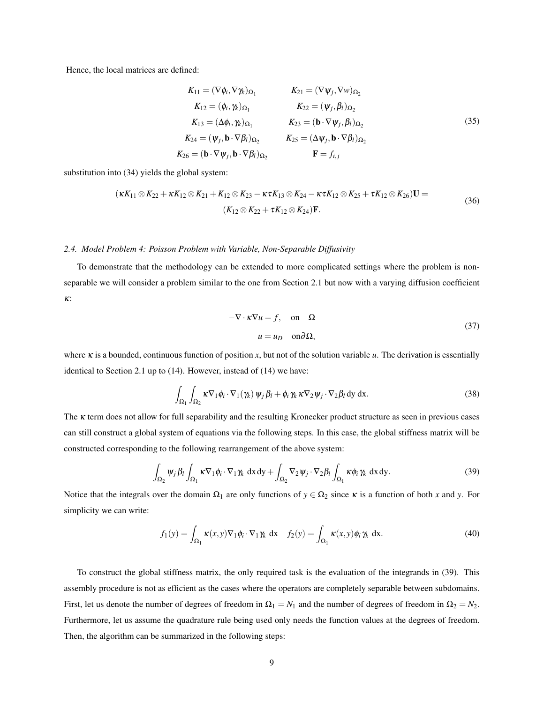Hence, the local matrices are defined:

<span id="page-8-2"></span>
$$
K_{11} = (\nabla \phi_i, \nabla \gamma_k)_{\Omega_1} \qquad K_{21} = (\nabla \psi_j, \nabla w)_{\Omega_2}
$$
  
\n
$$
K_{12} = (\phi_i, \gamma_k)_{\Omega_1} \qquad K_{22} = (\psi_j, \beta_i)_{\Omega_2}
$$
  
\n
$$
K_{13} = (\Delta \phi_i, \gamma_k)_{\Omega_1} \qquad K_{23} = (\mathbf{b} \cdot \nabla \psi_j, \beta_i)_{\Omega_2}
$$
  
\n
$$
K_{24} = (\psi_j, \mathbf{b} \cdot \nabla \beta_i)_{\Omega_2} \qquad K_{25} = (\Delta \psi_j, \mathbf{b} \cdot \nabla \beta_i)_{\Omega_2}
$$
  
\n
$$
K_{26} = (\mathbf{b} \cdot \nabla \psi_j, \mathbf{b} \cdot \nabla \beta_i)_{\Omega_2} \qquad \mathbf{F} = f_{i,j}
$$
\n(35)

substitution into [\(34\)](#page-7-1) yields the global system:

$$
(\kappa K_{11} \otimes K_{22} + \kappa K_{12} \otimes K_{21} + K_{12} \otimes K_{23} - \kappa \tau K_{13} \otimes K_{24} - \kappa \tau K_{12} \otimes K_{25} + \tau K_{12} \otimes K_{26})\mathbf{U} =
$$
\n
$$
(K_{12} \otimes K_{22} + \tau K_{12} \otimes K_{24})\mathbf{F}.
$$
\n(36)

#### <span id="page-8-0"></span>*2.4. Model Problem 4: Poisson Problem with Variable, Non-Separable Diffusivity*

To demonstrate that the methodology can be extended to more complicated settings where the problem is nonseparable we will consider a problem similar to the one from Section [2.1](#page-3-0) but now with a varying diffusion coefficient κ:

<span id="page-8-1"></span>
$$
-\nabla \cdot \kappa \nabla u = f, \quad \text{on} \quad \Omega
$$
  

$$
u = u_D \quad \text{on} \partial \Omega,
$$
 (37)

where κ is a bounded, continuous function of position *x*, but not of the solution variable *u*. The derivation is essentially identical to Section [2.1](#page-3-0) up to [\(14\)](#page-4-2). However, instead of [\(14\)](#page-4-2) we have:

$$
\int_{\Omega_1} \int_{\Omega_2} \kappa \nabla_1 \phi_i \cdot \nabla_1(\gamma_k) \psi_j \beta_l + \phi_i \gamma_k \kappa \nabla_2 \psi_j \cdot \nabla_2 \beta_l \, dy \, dx.
$$
\n(38)

The  $\kappa$  term does not allow for full separability and the resulting Kronecker product structure as seen in previous cases can still construct a global system of equations via the following steps. In this case, the global stiffness matrix will be constructed corresponding to the following rearrangement of the above system:

$$
\int_{\Omega_2} \psi_j \, \beta_l \int_{\Omega_1} \kappa \nabla_1 \phi_i \cdot \nabla_1 \gamma_k \, dx \, dy + \int_{\Omega_2} \nabla_2 \psi_j \cdot \nabla_2 \beta_l \int_{\Omega_1} \kappa \phi_i \, \gamma_k \, dx \, dy. \tag{39}
$$

Notice that the integrals over the domain  $\Omega_1$  are only functions of  $y \in \Omega_2$  since  $\kappa$  is a function of both *x* and *y*. For simplicity we can write:

$$
f_1(y) = \int_{\Omega_1} \kappa(x, y) \nabla_1 \phi_i \cdot \nabla_1 \gamma_k dx \quad f_2(y) = \int_{\Omega_1} \kappa(x, y) \phi_i \gamma_k dx.
$$
 (40)

To construct the global stiffness matrix, the only required task is the evaluation of the integrands in [\(39\)](#page-8-1). This assembly procedure is not as efficient as the cases where the operators are completely separable between subdomains. First, let us denote the number of degrees of freedom in  $\Omega_1 = N_1$  and the number of degrees of freedom in  $\Omega_2 = N_2$ . Furthermore, let us assume the quadrature rule being used only needs the function values at the degrees of freedom. Then, the algorithm can be summarized in the following steps: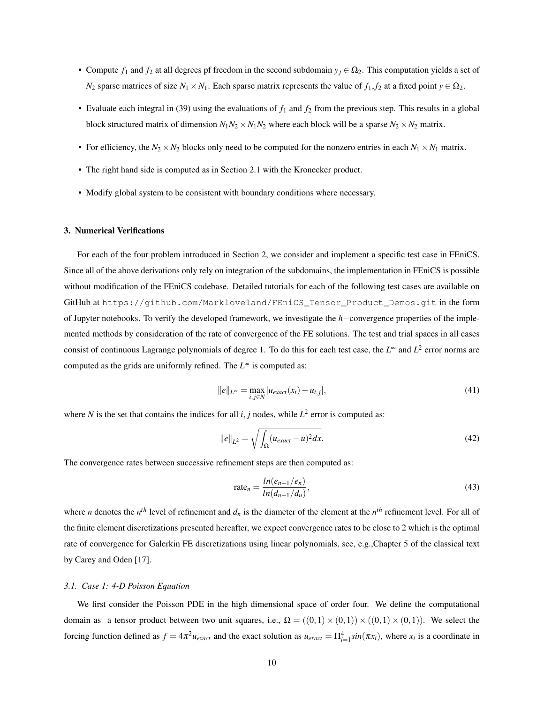- Compute  $f_1$  and  $f_2$  at all degrees pf freedom in the second subdomain  $y_j \in \Omega_2$ . This computation yields a set of *N*<sub>2</sub> sparse matrices of size  $N_1 \times N_1$ . Each sparse matrix represents the value of  $f_1, f_2$  at a fixed point  $y \in \Omega_2$ .
- Evaluate each integral in [\(39\)](#page-8-1) using the evaluations of  $f_1$  and  $f_2$  from the previous step. This results in a global block structured matrix of dimension  $N_1N_2 \times N_1N_2$  where each block will be a sparse  $N_2 \times N_2$  matrix.
- For efficiency, the  $N_2 \times N_2$  blocks only need to be computed for the nonzero entries in each  $N_1 \times N_1$  matrix.
- The right hand side is computed as in Section [2.1](#page-3-0) with the Kronecker product.
- Modify global system to be consistent with boundary conditions where necessary.

# <span id="page-9-0"></span>3. Numerical Verifications

For each of the four problem introduced in Section [2,](#page-2-1) we consider and implement a specific test case in FEniCS. Since all of the above derivations only rely on integration of the subdomains, the implementation in FEniCS is possible without modification of the FEniCS codebase. Detailed tutorials for each of the following test cases are available on GitHub at [https://github.com/Markloveland/FEniCS\\_Tensor\\_Product\\_Demos.git](https://github.com/Markloveland/FEniCS_Tensor_Product_Demos.git) in the form of Jupyter notebooks. To verify the developed framework, we investigate the *h*−convergence properties of the implemented methods by consideration of the rate of convergence of the FE solutions. The test and trial spaces in all cases consist of continuous Lagrange polynomials of degree 1. To do this for each test case, the *L* <sup>∞</sup> and *L* 2 error norms are computed as the grids are uniformly refined. The  $L^{\infty}$  is computed as:

$$
||e||_{L^{\infty}} = \max_{i,j \in N} |u_{exact}(x_i) - u_{i,j}|,
$$
\n(41)

where *N* is the set that contains the indices for all  $i, j$  nodes, while  $L^2$  error is computed as:

$$
||e||_{L^2} = \sqrt{\int_{\Omega} (u_{exact} - u)^2 dx}.
$$
 (42)

The convergence rates between successive refinement steps are then computed as:

$$
\text{rate}_n = \frac{\ln(e_{n-1}/e_n)}{\ln(d_{n-1}/d_n)},\tag{43}
$$

where *n* denotes the  $n^{th}$  level of refinement and  $d_n$  is the diameter of the element at the  $n^{th}$  refinement level. For all of the finite element discretizations presented hereafter, we expect convergence rates to be close to 2 which is the optimal rate of convergence for Galerkin FE discretizations using linear polynomials, see, e.g.,Chapter 5 of the classical text by Carey and Oden [\[17\]](#page-14-4).

# *3.1. Case 1: 4-D Poisson Equation*

We first consider the Poisson PDE in the high dimensional space of order four. We define the computational domain as a tensor product between two unit squares, i.e.,  $\Omega = ((0,1) \times (0,1)) \times ((0,1) \times (0,1))$ . We select the forcing function defined as  $f = 4\pi^2 u_{exact}$  and the exact solution as  $u_{exact} = \prod_{i=1}^4 sin(\pi x_i)$ , where  $x_i$  is a coordinate in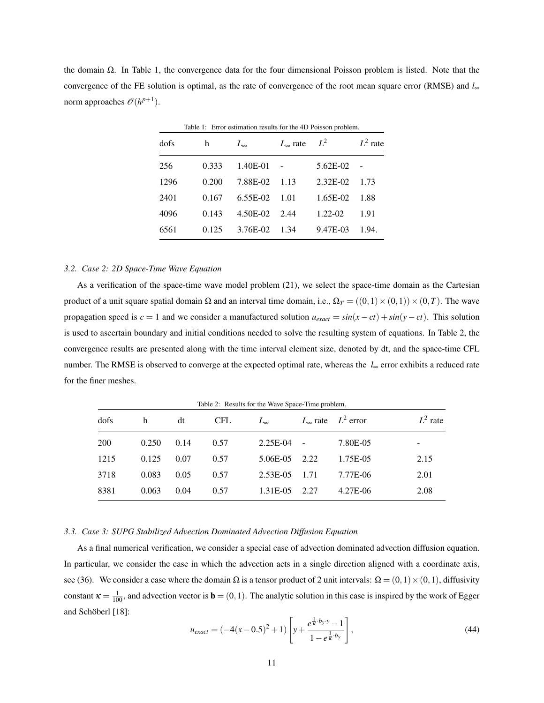the domain Ω. In Table [1,](#page-10-0) the convergence data for the four dimensional Poisson problem is listed. Note that the convergence of the FE solution is optimal, as the rate of convergence of the root mean square error (RMSE) and *l*<sup>∞</sup> norm approaches  $\mathscr{O}(h^{p+1})$ .

| rable 1. Error estimation results for the 4D I bisson problem. |       |              |                   |             |            |  |
|----------------------------------------------------------------|-------|--------------|-------------------|-------------|------------|--|
| dofs                                                           | h     | $L_{\infty}$ | $L_{\infty}$ rate | $L^2$       | $L^2$ rate |  |
| 256                                                            | 0.333 | $1.40E-01$ - |                   | 5.62E-02    |            |  |
| 1296                                                           | 0.200 | 7.88E-02     | $-1.13$           | $2.32E-02$  | 1.73       |  |
| 2401                                                           | 0.167 | $6.55E-02$   | - 1.01            | $1.65E-02$  | 1.88       |  |
| 4096                                                           | 0.143 | 4.50E-02     | 2.44              | $1.22 - 02$ | 1.91       |  |
| 6561                                                           | 0.125 | 3.76E-02     | 1.34              | 9.47E-03    | 1.94.      |  |
|                                                                |       |              |                   |             |            |  |

<span id="page-10-0"></span>Table 1: Error estimation results for the 4D Poisson problem.

# *3.2. Case 2: 2D Space-Time Wave Equation*

As a verification of the space-time wave model problem [\(21\)](#page-5-2), we select the space-time domain as the Cartesian product of a unit square spatial domain  $\Omega$  and an interval time domain, i.e.,  $\Omega_T = ((0,1) \times (0,1)) \times (0,T)$ . The wave propagation speed is  $c = 1$  and we consider a manufactured solution  $u_{exact} = sin(x - ct) + sin(y - ct)$ . This solution is used to ascertain boundary and initial conditions needed to solve the resulting system of equations. In Table [2,](#page-10-1) the convergence results are presented along with the time interval element size, denoted by dt, and the space-time CFL number. The RMSE is observed to converge at the expected optimal rate, whereas the *l*<sup>∞</sup> error exhibits a reduced rate for the finer meshes.

| dofs       | h     | dt   | <b>CFL</b> | rable $\mathcal{L}$ . Results for the wave opace Thine problem.<br>$L_{\infty}$ |            | $L_{\infty}$ rate $L^2$ error | $L^2$ rate |
|------------|-------|------|------------|---------------------------------------------------------------------------------|------------|-------------------------------|------------|
| <b>200</b> | 0.250 | 0.14 | 0.57       | 2.25E-04                                                                        | $\sim$ $-$ | 7.80E-05                      | -          |
| 1215       | 0.125 | 0.07 | 0.57       | 5.06E-05                                                                        | 2.22       | 1.75E-05                      | 2.15       |
| 3718       | 0.083 | 0.05 | 0.57       | $2.53E-0.5$                                                                     | 1.71       | 7.77E-06                      | 2.01       |
| 8381       | 0.063 | 0.04 | 0.57       | 1.31E-05                                                                        | 2.27       | 4.27E-06                      | 2.08       |

<span id="page-10-1"></span>Table 2: Results for the Wave Space-Time problem.

#### *3.3. Case 3: SUPG Stabilized Advection Dominated Advection Diffusion Equation*

As a final numerical verification, we consider a special case of advection dominated advection diffusion equation. In particular, we consider the case in which the advection acts in a single direction aligned with a coordinate axis, see [\(36\)](#page-8-2). We consider a case where the domain Ω is a tensor product of 2 unit intervals:  $\Omega = (0,1) \times (0,1)$ , diffusivity constant  $\kappa = \frac{1}{100}$ , and advection vector is  $\mathbf{b} = (0, 1)$ . The analytic solution in this case is inspired by the work of Egger and Schöberl [\[18\]](#page-14-5):

$$
u_{exact} = (-4(x-0.5)^2 + 1) \left[ y + \frac{e^{\frac{1}{k} \cdot b_y \cdot y} - 1}{1 - e^{\frac{1}{k} \cdot b_y}} \right],
$$
 (44)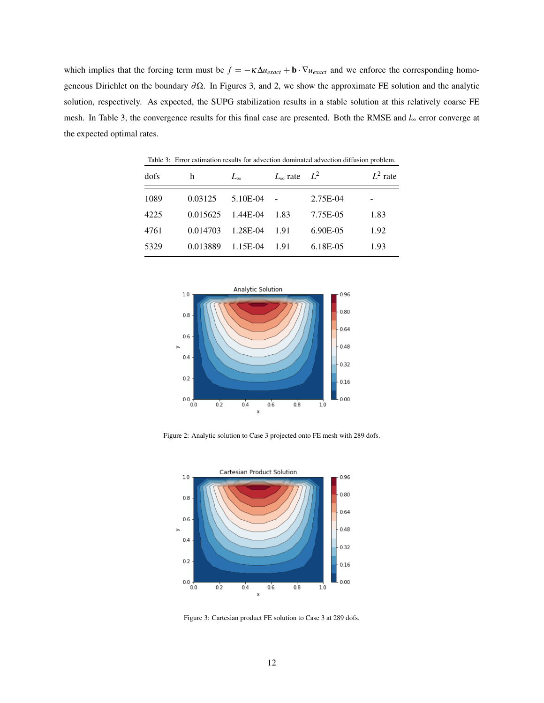which implies that the forcing term must be  $f = -\kappa \Delta u_{exact} + \mathbf{b} \cdot \nabla u_{exact}$  and we enforce the corresponding homogeneous Dirichlet on the boundary ∂Ω. In Figures [3,](#page-11-0) and [2,](#page-11-1) we show the approximate FE solution and the analytic solution, respectively. As expected, the SUPG stabilization results in a stable solution at this relatively coarse FE mesh. In Table [3,](#page-11-2) the convergence results for this final case are presented. Both the RMSE and *l*<sup>∞</sup> error converge at the expected optimal rates.

| dofs | h        | $L_{\infty}$ | $L_{\infty}$ rate | $L^2$       | $L^2$ rate |
|------|----------|--------------|-------------------|-------------|------------|
| 1089 | 0.03125  | 5.10E-04     |                   | 2.75E-04    |            |
| 4225 | 0.015625 | 1.44E-04     | 1.83              | 7.75E-05    | 1.83       |
| 4761 | 0.014703 | 1.28E-04     | 1.91              | $6.90E-0.5$ | 1.92       |
| 5329 | 0.013889 | 1.15E-04     | 1.91              | 6.18E-05    | 1.93       |

<span id="page-11-2"></span>Table 3: Error estimation results for advection dominated advection diffusion problem.



<span id="page-11-1"></span>Figure 2: Analytic solution to Case 3 projected onto FE mesh with 289 dofs.



<span id="page-11-0"></span>Figure 3: Cartesian product FE solution to Case 3 at 289 dofs.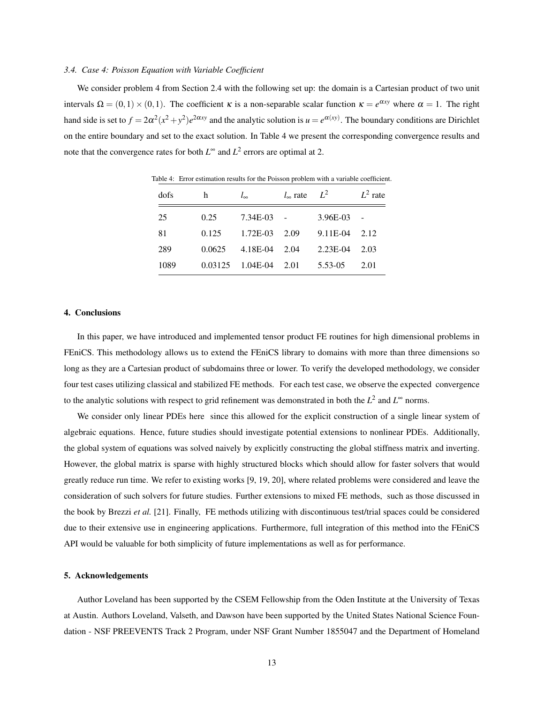#### *3.4. Case 4: Poisson Equation with Variable Coefficient*

We consider problem 4 from Section [2.4](#page-8-0) with the following set up: the domain is a Cartesian product of two unit intervals  $\Omega = (0,1) \times (0,1)$ . The coefficient  $\kappa$  is a non-separable scalar function  $\kappa = e^{\alpha xy}$  where  $\alpha = 1$ . The right hand side is set to  $f = 2\alpha^2(x^2 + y^2)e^{2\alpha xy}$  and the analytic solution is  $u = e^{\alpha(xy)}$ . The boundary conditions are Dirichlet on the entire boundary and set to the exact solution. In Table [4](#page-12-1) we present the corresponding convergence results and note that the convergence rates for both  $L^{\infty}$  and  $L^2$  errors are optimal at 2.

| dofs | h       | $l_{\infty}$ | $l_{\infty}$ rate | $L^2$    | $L^2$ rate |
|------|---------|--------------|-------------------|----------|------------|
| 25   | 0.25    | 7.34E-03     |                   | 3.96E-03 |            |
| 81   | 0.125   | 1.72E-03     | 2.09              | 9.11E-04 | 2.12       |
| 289  | 0.0625  | 4.18E-04     | 2.04              | 2.23E-04 | 2.03       |
| 1089 | 0.03125 | 1.04E-04     | 2.01              | 5.53-05  | 2.01       |

<span id="page-12-1"></span>Table 4: Error estimation results for the Poisson problem with a variable coefficient.

# <span id="page-12-0"></span>4. Conclusions

In this paper, we have introduced and implemented tensor product FE routines for high dimensional problems in FEniCS. This methodology allows us to extend the FEniCS library to domains with more than three dimensions so long as they are a Cartesian product of subdomains three or lower. To verify the developed methodology, we consider four test cases utilizing classical and stabilized FE methods. For each test case, we observe the expected convergence to the analytic solutions with respect to grid refinement was demonstrated in both the *L*<sup>2</sup> and *L*<sup>∞</sup> norms.

We consider only linear PDEs here since this allowed for the explicit construction of a single linear system of algebraic equations. Hence, future studies should investigate potential extensions to nonlinear PDEs. Additionally, the global system of equations was solved naively by explicitly constructing the global stiffness matrix and inverting. However, the global matrix is sparse with highly structured blocks which should allow for faster solvers that would greatly reduce run time. We refer to existing works [\[9,](#page-13-7) [19,](#page-14-6) [20\]](#page-14-7), where related problems were considered and leave the consideration of such solvers for future studies. Further extensions to mixed FE methods, such as those discussed in the book by Brezzi *et al.* [\[21\]](#page-14-8). Finally, FE methods utilizing with discontinuous test/trial spaces could be considered due to their extensive use in engineering applications. Furthermore, full integration of this method into the FEniCS API would be valuable for both simplicity of future implementations as well as for performance.

#### 5. Acknowledgements

Author Loveland has been supported by the CSEM Fellowship from the Oden Institute at the University of Texas at Austin. Authors Loveland, Valseth, and Dawson have been supported by the United States National Science Foundation - NSF PREEVENTS Track 2 Program, under NSF Grant Number 1855047 and the Department of Homeland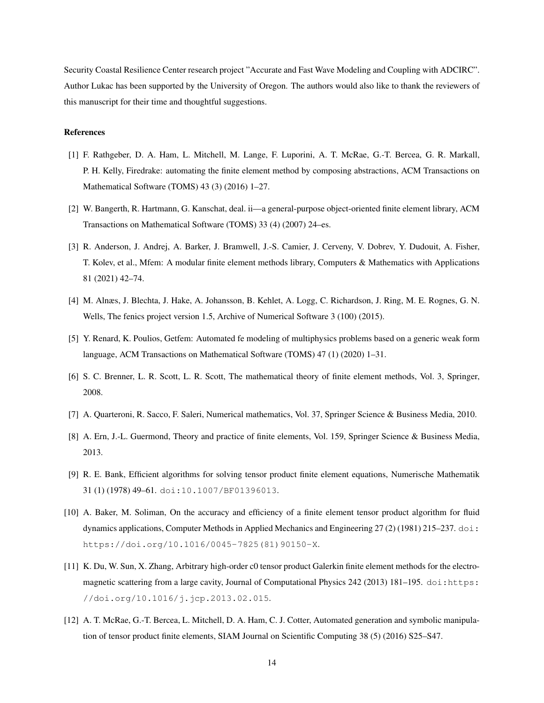Security Coastal Resilience Center research project "Accurate and Fast Wave Modeling and Coupling with ADCIRC". Author Lukac has been supported by the University of Oregon. The authors would also like to thank the reviewers of this manuscript for their time and thoughtful suggestions.

# References

- <span id="page-13-0"></span>[1] F. Rathgeber, D. A. Ham, L. Mitchell, M. Lange, F. Luporini, A. T. McRae, G.-T. Bercea, G. R. Markall, P. H. Kelly, Firedrake: automating the finite element method by composing abstractions, ACM Transactions on Mathematical Software (TOMS) 43 (3) (2016) 1–27.
- <span id="page-13-1"></span>[2] W. Bangerth, R. Hartmann, G. Kanschat, deal. ii—a general-purpose object-oriented finite element library, ACM Transactions on Mathematical Software (TOMS) 33 (4) (2007) 24–es.
- <span id="page-13-2"></span>[3] R. Anderson, J. Andrej, A. Barker, J. Bramwell, J.-S. Camier, J. Cerveny, V. Dobrev, Y. Dudouit, A. Fisher, T. Kolev, et al., Mfem: A modular finite element methods library, Computers & Mathematics with Applications 81 (2021) 42–74.
- <span id="page-13-3"></span>[4] M. Alnæs, J. Blechta, J. Hake, A. Johansson, B. Kehlet, A. Logg, C. Richardson, J. Ring, M. E. Rognes, G. N. Wells, The fenics project version 1.5, Archive of Numerical Software 3 (100) (2015).
- <span id="page-13-4"></span>[5] Y. Renard, K. Poulios, Getfem: Automated fe modeling of multiphysics problems based on a generic weak form language, ACM Transactions on Mathematical Software (TOMS) 47 (1) (2020) 1–31.
- <span id="page-13-5"></span>[6] S. C. Brenner, L. R. Scott, L. R. Scott, The mathematical theory of finite element methods, Vol. 3, Springer, 2008.
- [7] A. Quarteroni, R. Sacco, F. Saleri, Numerical mathematics, Vol. 37, Springer Science & Business Media, 2010.
- <span id="page-13-6"></span>[8] A. Ern, J.-L. Guermond, Theory and practice of finite elements, Vol. 159, Springer Science & Business Media, 2013.
- <span id="page-13-7"></span>[9] R. E. Bank, Efficient algorithms for solving tensor product finite element equations, Numerische Mathematik 31 (1) (1978) 49–61. [doi:10.1007/BF01396013](https://doi.org/10.1007/BF01396013).
- <span id="page-13-8"></span>[10] A. Baker, M. Soliman, On the accuracy and efficiency of a finite element tensor product algorithm for fluid dynamics applications, Computer Methods in Applied Mechanics and Engineering 27 (2) (1981) 215–237. [doi:](https://doi.org/https://doi.org/10.1016/0045-7825(81)90150-X) [https://doi.org/10.1016/0045-7825\(81\)90150-X](https://doi.org/https://doi.org/10.1016/0045-7825(81)90150-X).
- <span id="page-13-9"></span>[11] K. Du, W. Sun, X. Zhang, Arbitrary high-order c0 tensor product Galerkin finite element methods for the electromagnetic scattering from a large cavity, Journal of Computational Physics 242 (2013) 181–195. [doi:https:](https://doi.org/https://doi.org/10.1016/j.jcp.2013.02.015) [//doi.org/10.1016/j.jcp.2013.02.015](https://doi.org/https://doi.org/10.1016/j.jcp.2013.02.015).
- <span id="page-13-10"></span>[12] A. T. McRae, G.-T. Bercea, L. Mitchell, D. A. Ham, C. J. Cotter, Automated generation and symbolic manipulation of tensor product finite elements, SIAM Journal on Scientific Computing 38 (5) (2016) S25–S47.